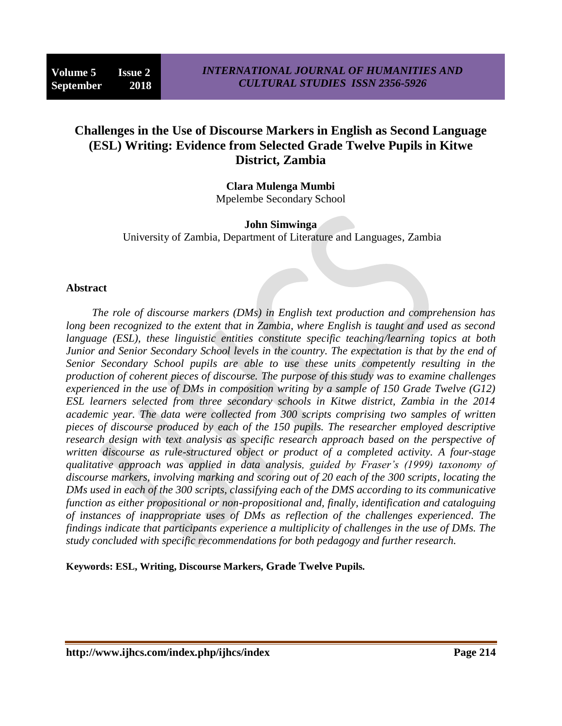# **Challenges in the Use of Discourse Markers in English as Second Language (ESL) Writing: Evidence from Selected Grade Twelve Pupils in Kitwe District, Zambia**

**Clara Mulenga Mumbi** Mpelembe Secondary School

**John Simwinga** University of Zambia, Department of Literature and Languages, Zambia

#### **Abstract**

*The role of discourse markers (DMs) in English text production and comprehension has long been recognized to the extent that in Zambia, where English is taught and used as second language (ESL), these linguistic entities constitute specific teaching/learning topics at both Junior and Senior Secondary School levels in the country. The expectation is that by the end of Senior Secondary School pupils are able to use these units competently resulting in the production of coherent pieces of discourse. The purpose of this study was to examine challenges experienced in the use of DMs in composition writing by a sample of 150 Grade Twelve (G12) ESL learners selected from three secondary schools in Kitwe district, Zambia in the 2014 academic year. The data were collected from 300 scripts comprising two samples of written pieces of discourse produced by each of the 150 pupils. The researcher employed descriptive research design with text analysis as specific research approach based on the perspective of written discourse as rule-structured object or product of a completed activity. A four-stage qualitative approach was applied in data analysis, guided by Fraser's (1999) taxonomy of discourse markers, involving marking and scoring out of 20 each of the 300 scripts, locating the DMs used in each of the 300 scripts, classifying each of the DMS according to its communicative function as either propositional or non-propositional and, finally, identification and cataloguing of instances of inappropriate uses of DMs as reflection of the challenges experienced. The findings indicate that participants experience a multiplicity of challenges in the use of DMs. The study concluded with specific recommendations for both pedagogy and further research.*

**Keywords: ESL, Writing, Discourse Markers, Grade Twelve Pupils.**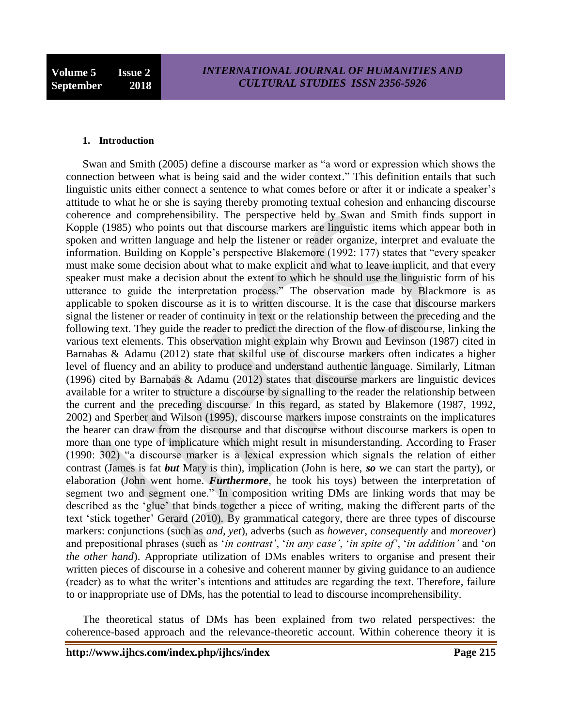#### **1. Introduction**

Swan and Smith (2005) define a discourse marker as "a word or expression which shows the connection between what is being said and the wider context." This definition entails that such linguistic units either connect a sentence to what comes before or after it or indicate a speaker"s attitude to what he or she is saying thereby promoting textual cohesion and enhancing discourse coherence and comprehensibility. The perspective held by Swan and Smith finds support in Kopple (1985) who points out that discourse markers are linguistic items which appear both in spoken and written language and help the listener or reader organize, interpret and evaluate the information. Building on Kopple"s perspective Blakemore (1992: 177) states that "every speaker must make some decision about what to make explicit and what to leave implicit, and that every speaker must make a decision about the extent to which he should use the linguistic form of his utterance to guide the interpretation process." The observation made by Blackmore is as applicable to spoken discourse as it is to written discourse. It is the case that discourse markers signal the listener or reader of continuity in text or the relationship between the preceding and the following text. They guide the reader to predict the direction of the flow of discourse, linking the various text elements. This observation might explain why Brown and Levinson (1987) cited in Barnabas & Adamu (2012) state that skilful use of discourse markers often indicates a higher level of fluency and an ability to produce and understand authentic language. Similarly, Litman (1996) cited by Barnabas & Adamu (2012) states that discourse markers are linguistic devices available for a writer to structure a discourse by signalling to the reader the relationship between the current and the preceding discourse. In this regard, as stated by Blakemore (1987, 1992, 2002) and Sperber and Wilson (1995), discourse markers impose constraints on the implicatures the hearer can draw from the discourse and that discourse without discourse markers is open to more than one type of implicature which might result in misunderstanding. According to Fraser (1990: 302) "a discourse marker is a lexical expression which signals the relation of either contrast (James is fat *but* Mary is thin), implication (John is here, *so* we can start the party), or elaboration (John went home. *Furthermore*, he took his toys) between the interpretation of segment two and segment one." In composition writing DMs are linking words that may be described as the "glue" that binds together a piece of writing, making the different parts of the text "stick together" Gerard (2010). By grammatical category, there are three types of discourse markers: conjunctions (such as *and, yet*), adverbs (such as *however*, *consequently* and *moreover*) and prepositional phrases (such as '*in contrast'*, '*in any case'*, '*in spite of'*, '*in addition'* and '*on the other hand*). Appropriate utilization of DMs enables writers to organise and present their written pieces of discourse in a cohesive and coherent manner by giving guidance to an audience (reader) as to what the writer"s intentions and attitudes are regarding the text. Therefore, failure to or inappropriate use of DMs, has the potential to lead to discourse incomprehensibility.

The theoretical status of DMs has been explained from two related perspectives: the coherence-based approach and the relevance-theoretic account. Within coherence theory it is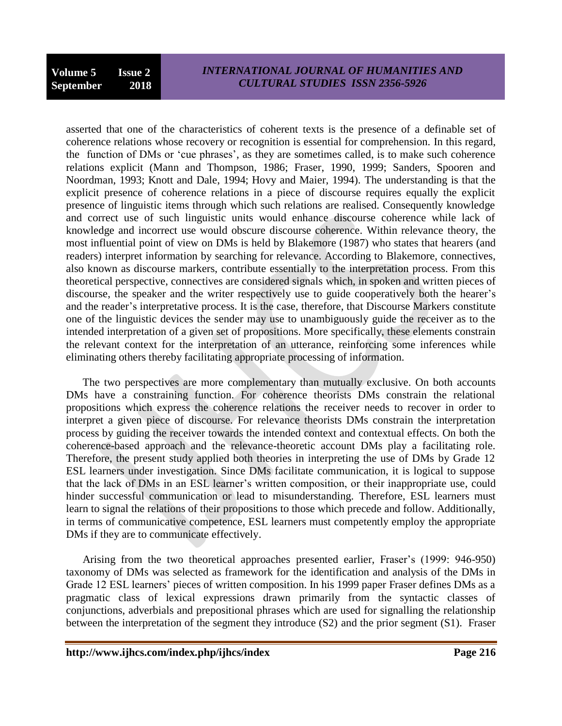asserted that one of the characteristics of coherent texts is the presence of a definable set of coherence relations whose recovery or recognition is essential for comprehension. In this regard, the function of DMs or "cue phrases", as they are sometimes called, is to make such coherence relations explicit (Mann and Thompson, 1986; Fraser, 1990, 1999; Sanders, Spooren and Noordman, 1993; Knott and Dale, 1994; Hovy and Maier, 1994). The understanding is that the explicit presence of coherence relations in a piece of discourse requires equally the explicit presence of linguistic items through which such relations are realised. Consequently knowledge and correct use of such linguistic units would enhance discourse coherence while lack of knowledge and incorrect use would obscure discourse coherence. Within relevance theory, the most influential point of view on DMs is held by Blakemore (1987) who states that hearers (and readers) interpret information by searching for relevance. According to Blakemore, connectives, also known as discourse markers, contribute essentially to the interpretation process. From this theoretical perspective, connectives are considered signals which, in spoken and written pieces of discourse, the speaker and the writer respectively use to guide cooperatively both the hearer's and the reader"s interpretative process. It is the case, therefore, that Discourse Markers constitute one of the linguistic devices the sender may use to unambiguously guide the receiver as to the intended interpretation of a given set of propositions. More specifically, these elements constrain the relevant context for the interpretation of an utterance, reinforcing some inferences while eliminating others thereby facilitating appropriate processing of information.

The two perspectives are more complementary than mutually exclusive. On both accounts DMs have a constraining function. For coherence theorists DMs constrain the relational propositions which express the coherence relations the receiver needs to recover in order to interpret a given piece of discourse. For relevance theorists DMs constrain the interpretation process by guiding the receiver towards the intended context and contextual effects. On both the coherence-based approach and the relevance-theoretic account DMs play a facilitating role. Therefore, the present study applied both theories in interpreting the use of DMs by Grade 12 ESL learners under investigation. Since DMs facilitate communication, it is logical to suppose that the lack of DMs in an ESL learner"s written composition, or their inappropriate use, could hinder successful communication or lead to misunderstanding. Therefore, ESL learners must learn to signal the relations of their propositions to those which precede and follow. Additionally, in terms of communicative competence, ESL learners must competently employ the appropriate DMs if they are to communicate effectively.

Arising from the two theoretical approaches presented earlier, Fraser's (1999: 946-950) taxonomy of DMs was selected as framework for the identification and analysis of the DMs in Grade 12 ESL learners" pieces of written composition. In his 1999 paper Fraser defines DMs as a pragmatic class of lexical expressions drawn primarily from the syntactic classes of conjunctions, adverbials and prepositional phrases which are used for signalling the relationship between the interpretation of the segment they introduce (S2) and the prior segment (S1). Fraser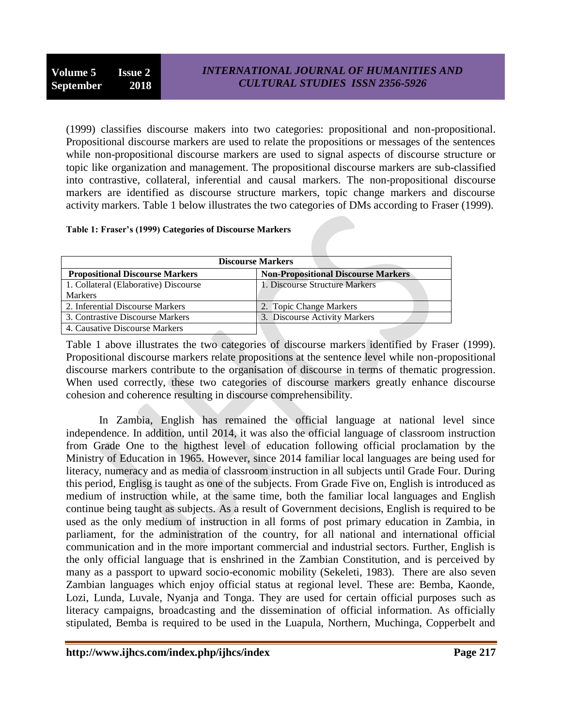(1999) classifies discourse makers into two categories: propositional and non-propositional. Propositional discourse markers are used to relate the propositions or messages of the sentences while non-propositional discourse markers are used to signal aspects of discourse structure or topic like organization and management. The propositional discourse markers are sub-classified into contrastive, collateral, inferential and causal markers. The non-propositional discourse markers are identified as discourse structure markers, topic change markers and discourse activity markers. Table 1 below illustrates the two categories of DMs according to Fraser (1999).

#### **Table 1: Fraser's (1999) Categories of Discourse Markers**

| <b>Discourse Markers</b>               |                                            |  |  |  |
|----------------------------------------|--------------------------------------------|--|--|--|
| <b>Propositional Discourse Markers</b> | <b>Non-Propositional Discourse Markers</b> |  |  |  |
| 1. Collateral (Elaborative) Discourse  | 1. Discourse Structure Markers             |  |  |  |
| <b>Markers</b>                         |                                            |  |  |  |
| 2. Inferential Discourse Markers       | 2. Topic Change Markers                    |  |  |  |
| 3. Contrastive Discourse Markers       | 3. Discourse Activity Markers              |  |  |  |
| 4. Causative Discourse Markers         |                                            |  |  |  |

Table 1 above illustrates the two categories of discourse markers identified by Fraser (1999). Propositional discourse markers relate propositions at the sentence level while non-propositional discourse markers contribute to the organisation of discourse in terms of thematic progression. When used correctly, these two categories of discourse markers greatly enhance discourse cohesion and coherence resulting in discourse comprehensibility.

In Zambia, English has remained the official language at national level since independence. In addition, until 2014, it was also the official language of classroom instruction from Grade One to the higthest level of education following official proclamation by the Ministry of Education in 1965. However, since 2014 familiar local languages are being used for literacy, numeracy and as media of classroom instruction in all subjects until Grade Four. During this period, Englisg is taught as one of the subjects. From Grade Five on, English is introduced as medium of instruction while, at the same time, both the familiar local languages and English continue being taught as subjects. As a result of Government decisions, English is required to be used as the only medium of instruction in all forms of post primary education in Zambia, in parliament, for the administration of the country, for all national and international official communication and in the more important commercial and industrial sectors. Further, English is the only official language that is enshrined in the Zambian Constitution, and is perceived by many as a passport to upward socio-economic mobility (Sekeleti, 1983). There are also seven Zambian languages which enjoy official status at regional level. These are: Bemba, Kaonde, Lozi, Lunda, Luvale, Nyanja and Tonga. They are used for certain official purposes such as literacy campaigns, broadcasting and the dissemination of official information. As officially stipulated, Bemba is required to be used in the Luapula, Northern, Muchinga, Copperbelt and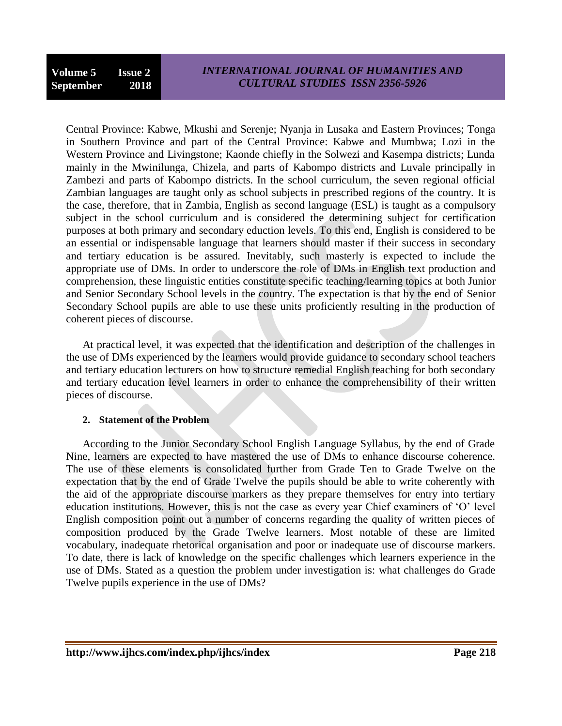Central Province: Kabwe, Mkushi and Serenje; Nyanja in Lusaka and Eastern Provinces; Tonga in Southern Province and part of the Central Province: Kabwe and Mumbwa; Lozi in the Western Province and Livingstone; Kaonde chiefly in the Solwezi and Kasempa districts; Lunda mainly in the Mwinilunga, Chizela, and parts of Kabompo districts and Luvale principally in Zambezi and parts of Kabompo districts. In the school curriculum, the seven regional official Zambian languages are taught only as school subjects in prescribed regions of the country. It is the case, therefore, that in Zambia, English as second language (ESL) is taught as a compulsory subject in the school curriculum and is considered the determining subject for certification purposes at both primary and secondary eduction levels. To this end, English is considered to be an essential or indispensable language that learners should master if their success in secondary and tertiary education is be assured. Inevitably, such masterly is expected to include the appropriate use of DMs. In order to underscore the role of DMs in English text production and comprehension, these linguistic entities constitute specific teaching/learning topics at both Junior and Senior Secondary School levels in the country. The expectation is that by the end of Senior Secondary School pupils are able to use these units proficiently resulting in the production of coherent pieces of discourse.

At practical level, it was expected that the identification and description of the challenges in the use of DMs experienced by the learners would provide guidance to secondary school teachers and tertiary education lecturers on how to structure remedial English teaching for both secondary and tertiary education level learners in order to enhance the comprehensibility of their written pieces of discourse.

## **2. Statement of the Problem**

According to the Junior Secondary School English Language Syllabus, by the end of Grade Nine, learners are expected to have mastered the use of DMs to enhance discourse coherence. The use of these elements is consolidated further from Grade Ten to Grade Twelve on the expectation that by the end of Grade Twelve the pupils should be able to write coherently with the aid of the appropriate discourse markers as they prepare themselves for entry into tertiary education institutions. However, this is not the case as every year Chief examiners of "O" level English composition point out a number of concerns regarding the quality of written pieces of composition produced by the Grade Twelve learners. Most notable of these are limited vocabulary, inadequate rhetorical organisation and poor or inadequate use of discourse markers. To date, there is lack of knowledge on the specific challenges which learners experience in the use of DMs. Stated as a question the problem under investigation is: what challenges do Grade Twelve pupils experience in the use of DMs?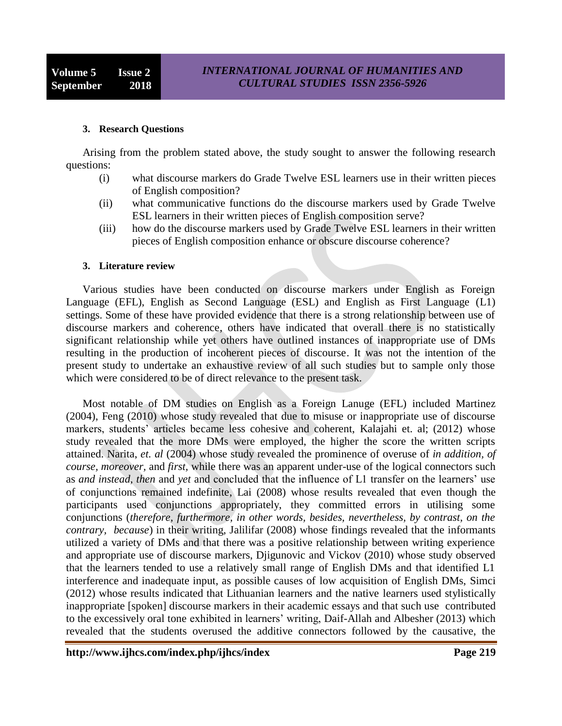#### **3. Research Questions**

Arising from the problem stated above, the study sought to answer the following research questions:

- (i) what discourse markers do Grade Twelve ESL learners use in their written pieces of English composition?
- (ii) what communicative functions do the discourse markers used by Grade Twelve ESL learners in their written pieces of English composition serve?
- (iii) how do the discourse markers used by Grade Twelve ESL learners in their written pieces of English composition enhance or obscure discourse coherence?

#### **3. Literature review**

Various studies have been conducted on discourse markers under English as Foreign Language (EFL), English as Second Language (ESL) and English as First Language (L1) settings. Some of these have provided evidence that there is a strong relationship between use of discourse markers and coherence, others have indicated that overall there is no statistically significant relationship while yet others have outlined instances of inappropriate use of DMs resulting in the production of incoherent pieces of discourse. It was not the intention of the present study to undertake an exhaustive review of all such studies but to sample only those which were considered to be of direct relevance to the present task.

Most notable of DM studies on English as a Foreign Lanuge (EFL) included Martinez (2004), Feng (2010) whose study revealed that due to misuse or inappropriate use of discourse markers, students' articles became less cohesive and coherent, Kalajahi et. al; (2012) whose study revealed that the more DMs were employed, the higher the score the written scripts attained. Narita, *et. al* (2004) whose study revealed the prominence of overuse of *in addition, of course, moreover,* and *first,* while there was an apparent under-use of the logical connectors such as *and instead, then* and *yet* and concluded that the influence of L1 transfer on the learners" use of conjunctions remained indefinite, Lai (2008) whose results revealed that even though the participants used conjunctions appropriately, they committed errors in utilising some conjunctions (*therefore, furthermore, in other words, besides, nevertheless, by contrast, on the contrary, because*) in their writing, Jalilifar (2008) whose findings revealed that the informants utilized a variety of DMs and that there was a positive relationship between writing experience and appropriate use of discourse markers, Djigunovic and Vickov (2010) whose study observed that the learners tended to use a relatively small range of English DMs and that identified L1 interference and inadequate input, as possible causes of low acquisition of English DMs, Simci (2012) whose results indicated that Lithuanian learners and the native learners used stylistically inappropriate [spoken] discourse markers in their academic essays and that such use contributed to the excessively oral tone exhibited in learners" writing, Daif-Allah and Albesher (2013) which revealed that the students overused the additive connectors followed by the causative, the

**http://www.ijhcs.com/index.php/ijhcs/index Page 219**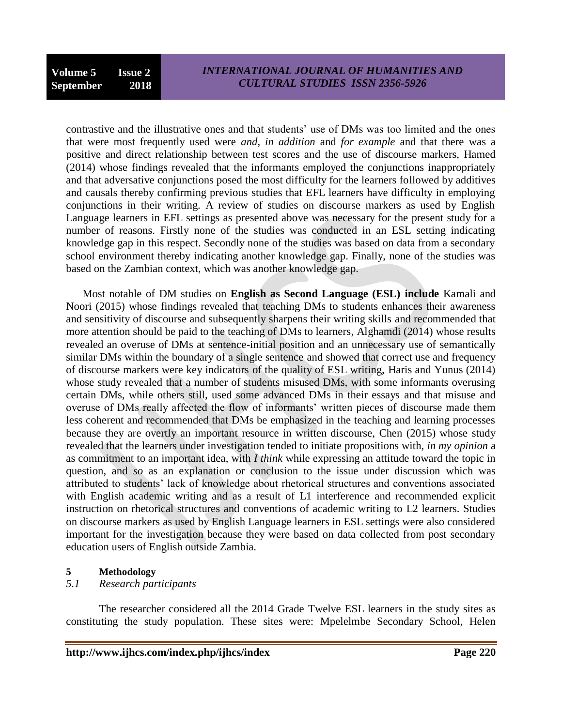contrastive and the illustrative ones and that students" use of DMs was too limited and the ones that were most frequently used were *and*, *in addition* and *for example* and that there was a positive and direct relationship between test scores and the use of discourse markers, Hamed (2014) whose findings revealed that the informants employed the conjunctions inappropriately and that adversative conjunctions posed the most difficulty for the learners followed by additives and causals thereby confirming previous studies that EFL learners have difficulty in employing conjunctions in their writing. A review of studies on discourse markers as used by English Language learners in EFL settings as presented above was necessary for the present study for a number of reasons. Firstly none of the studies was conducted in an ESL setting indicating knowledge gap in this respect. Secondly none of the studies was based on data from a secondary school environment thereby indicating another knowledge gap. Finally, none of the studies was based on the Zambian context, which was another knowledge gap.

Most notable of DM studies on **English as Second Language (ESL) include** Kamali and Noori (2015) whose findings revealed that teaching DMs to students enhances their awareness and sensitivity of discourse and subsequently sharpens their writing skills and recommended that more attention should be paid to the teaching of DMs to learners, Alghamdi (2014) whose results revealed an overuse of DMs at sentence-initial position and an unnecessary use of semantically similar DMs within the boundary of a single sentence and showed that correct use and frequency of discourse markers were key indicators of the quality of ESL writing, Haris and Yunus (2014) whose study revealed that a number of students misused DMs, with some informants overusing certain DMs, while others still, used some advanced DMs in their essays and that misuse and overuse of DMs really affected the flow of informants" written pieces of discourse made them less coherent and recommended that DMs be emphasized in the teaching and learning processes because they are overtly an important resource in written discourse, Chen (2015) whose study revealed that the learners under investigation tended to initiate propositions with, *in my opinion* a as commitment to an important idea, with *I think* while expressing an attitude toward the topic in question, and *so* as an explanation or conclusion to the issue under discussion which was attributed to students" lack of knowledge about rhetorical structures and conventions associated with English academic writing and as a result of L1 interference and recommended explicit instruction on rhetorical structures and conventions of academic writing to L2 learners. Studies on discourse markers as used by English Language learners in ESL settings were also considered important for the investigation because they were based on data collected from post secondary education users of English outside Zambia.

## **5 Methodology**

## *5.1 Research participants*

The researcher considered all the 2014 Grade Twelve ESL learners in the study sites as constituting the study population. These sites were: Mpelelmbe Secondary School, Helen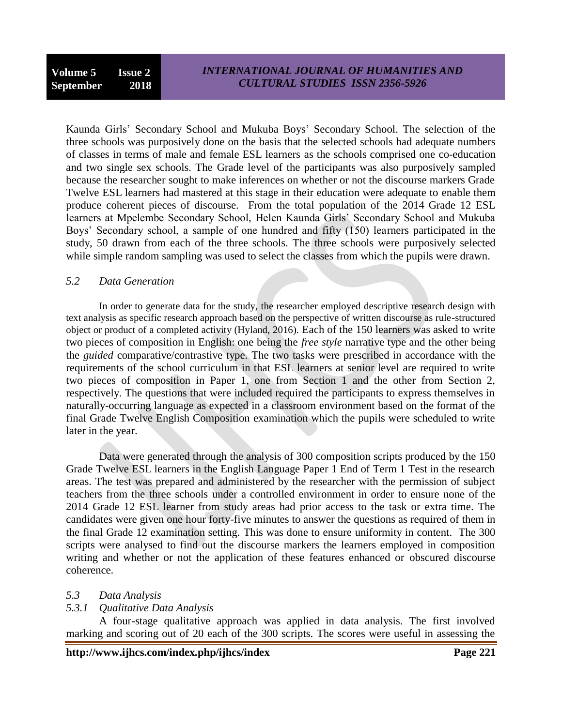Kaunda Girls" Secondary School and Mukuba Boys" Secondary School. The selection of the three schools was purposively done on the basis that the selected schools had adequate numbers of classes in terms of male and female ESL learners as the schools comprised one co-education and two single sex schools. The Grade level of the participants was also purposively sampled because the researcher sought to make inferences on whether or not the discourse markers Grade Twelve ESL learners had mastered at this stage in their education were adequate to enable them produce coherent pieces of discourse. From the total population of the 2014 Grade 12 ESL learners at Mpelembe Secondary School, Helen Kaunda Girls" Secondary School and Mukuba Boys" Secondary school, a sample of one hundred and fifty (150) learners participated in the study, 50 drawn from each of the three schools. The three schools were purposively selected while simple random sampling was used to select the classes from which the pupils were drawn.

## *5.2 Data Generation*

In order to generate data for the study, the researcher employed descriptive research design with text analysis as specific research approach based on the perspective of written discourse as rule-structured object or product of a completed activity (Hyland, 2016). Each of the 150 learners was asked to write two pieces of composition in English: one being the *free style* narrative type and the other being the *guided* comparative/contrastive type. The two tasks were prescribed in accordance with the requirements of the school curriculum in that ESL learners at senior level are required to write two pieces of composition in Paper 1, one from Section 1 and the other from Section 2, respectively. The questions that were included required the participants to express themselves in naturally-occurring language as expected in a classroom environment based on the format of the final Grade Twelve English Composition examination which the pupils were scheduled to write later in the year.

Data were generated through the analysis of 300 composition scripts produced by the 150 Grade Twelve ESL learners in the English Language Paper 1 End of Term 1 Test in the research areas. The test was prepared and administered by the researcher with the permission of subject teachers from the three schools under a controlled environment in order to ensure none of the 2014 Grade 12 ESL learner from study areas had prior access to the task or extra time. The candidates were given one hour forty-five minutes to answer the questions as required of them in the final Grade 12 examination setting. This was done to ensure uniformity in content. The 300 scripts were analysed to find out the discourse markers the learners employed in composition writing and whether or not the application of these features enhanced or obscured discourse coherence.

## *5.3 Data Analysis*

## *5.3.1 Qualitative Data Analysis*

A four-stage qualitative approach was applied in data analysis. The first involved marking and scoring out of 20 each of the 300 scripts. The scores were useful in assessing the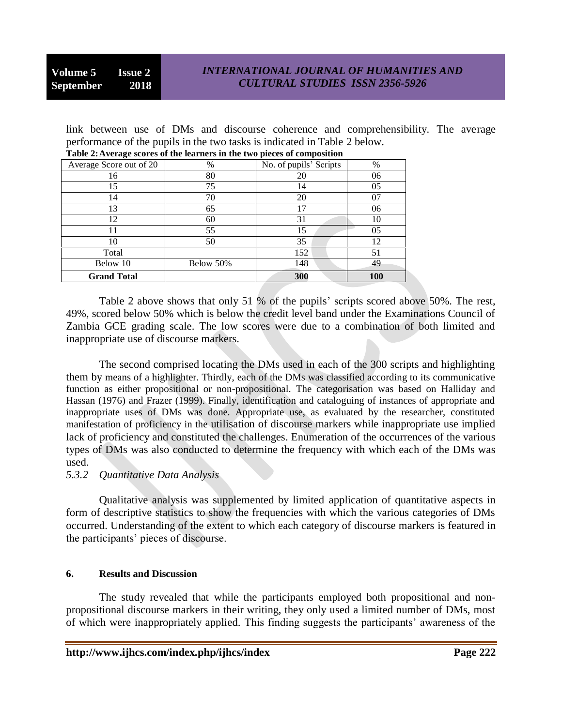link between use of DMs and discourse coherence and comprehensibility. The average performance of the pupils in the two tasks is indicated in Table 2 below.

| .                       |           |                        |     |
|-------------------------|-----------|------------------------|-----|
| Average Score out of 20 | %         | No. of pupils' Scripts | %   |
| 16                      | 80        | 20                     | 06  |
| 15                      | 75        | 14                     | 05  |
| 14                      | 70        | 20                     | 07  |
| 13                      | 65        | 17                     | 06  |
| 12                      | 60        | 31                     | 10  |
|                         | 55        | 15                     | 05  |
| 10                      | 50        | 35                     | 12  |
| Total                   |           | 152                    | 51  |
| Below 10                | Below 50% | 148                    | 49  |
| <b>Grand Total</b>      |           | 300                    | 100 |

| Table 2: Average scores of the learners in the two pieces of composition |  |  |
|--------------------------------------------------------------------------|--|--|

Table 2 above shows that only 51 % of the pupils' scripts scored above 50%. The rest, 49%, scored below 50% which is below the credit level band under the Examinations Council of Zambia GCE grading scale. The low scores were due to a combination of both limited and inappropriate use of discourse markers.

The second comprised locating the DMs used in each of the 300 scripts and highlighting them by means of a highlighter. Thirdly, each of the DMs was classified according to its communicative function as either propositional or non-propositional. The categorisation was based on Halliday and Hassan (1976) and Frazer (1999). Finally, identification and cataloguing of instances of appropriate and inappropriate uses of DMs was done. Appropriate use, as evaluated by the researcher, constituted manifestation of proficiency in the utilisation of discourse markers while inappropriate use implied lack of proficiency and constituted the challenges. Enumeration of the occurrences of the various types of DMs was also conducted to determine the frequency with which each of the DMs was used.

#### *5.3.2 Quantitative Data Analysis*

Qualitative analysis was supplemented by limited application of quantitative aspects in form of descriptive statistics to show the frequencies with which the various categories of DMs occurred. Understanding of the extent to which each category of discourse markers is featured in the participants" pieces of discourse.

#### **6. Results and Discussion**

The study revealed that while the participants employed both propositional and nonpropositional discourse markers in their writing, they only used a limited number of DMs, most of which were inappropriately applied. This finding suggests the participants" awareness of the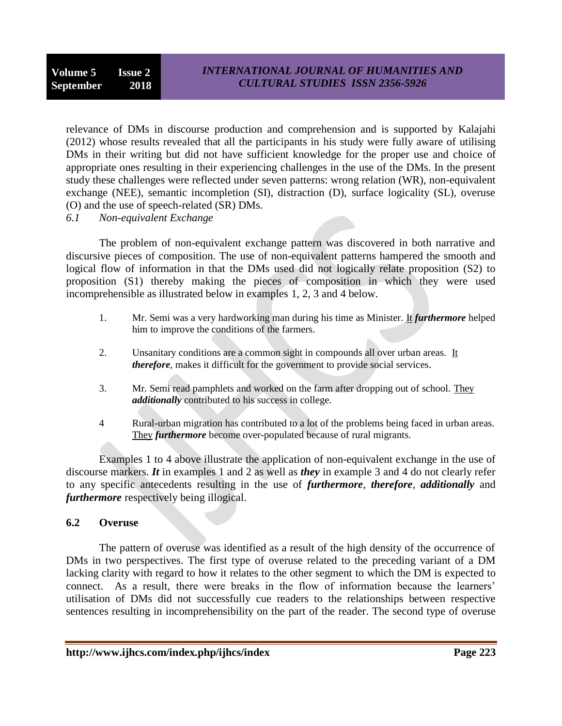relevance of DMs in discourse production and comprehension and is supported by Kalajahi (2012) whose results revealed that all the participants in his study were fully aware of utilising DMs in their writing but did not have sufficient knowledge for the proper use and choice of appropriate ones resulting in their experiencing challenges in the use of the DMs. In the present study these challenges were reflected under seven patterns: wrong relation (WR), non-equivalent exchange (NEE), semantic incompletion (SI), distraction (D), surface logicality (SL), overuse (O) and the use of speech-related (SR) DMs.

*6.1 Non-equivalent Exchange*

The problem of non-equivalent exchange pattern was discovered in both narrative and discursive pieces of composition. The use of non-equivalent patterns hampered the smooth and logical flow of information in that the DMs used did not logically relate proposition (S2) to proposition (S1) thereby making the pieces of composition in which they were used incomprehensible as illustrated below in examples 1, 2, 3 and 4 below.

- 1. Mr. Semi was a very hardworking man during his time as Minister. It *furthermore* helped him to improve the conditions of the farmers.
- 2. Unsanitary conditions are a common sight in compounds all over urban areas. It *therefore*, makes it difficult for the government to provide social services.
- 3. Mr. Semi read pamphlets and worked on the farm after dropping out of school. They *additionally* contributed to his success in college.
- 4 Rural-urban migration has contributed to a lot of the problems being faced in urban areas. They *furthermore* become over-populated because of rural migrants.

Examples 1 to 4 above illustrate the application of non-equivalent exchange in the use of discourse markers. *It* in examples 1 and 2 as well as *they* in example 3 and 4 do not clearly refer to any specific antecedents resulting in the use of *furthermore*, *therefore*, *additionally* and *furthermore* respectively being illogical.

## **6.2 Overuse**

The pattern of overuse was identified as a result of the high density of the occurrence of DMs in two perspectives. The first type of overuse related to the preceding variant of a DM lacking clarity with regard to how it relates to the other segment to which the DM is expected to connect. As a result, there were breaks in the flow of information because the learners' utilisation of DMs did not successfully cue readers to the relationships between respective sentences resulting in incomprehensibility on the part of the reader. The second type of overuse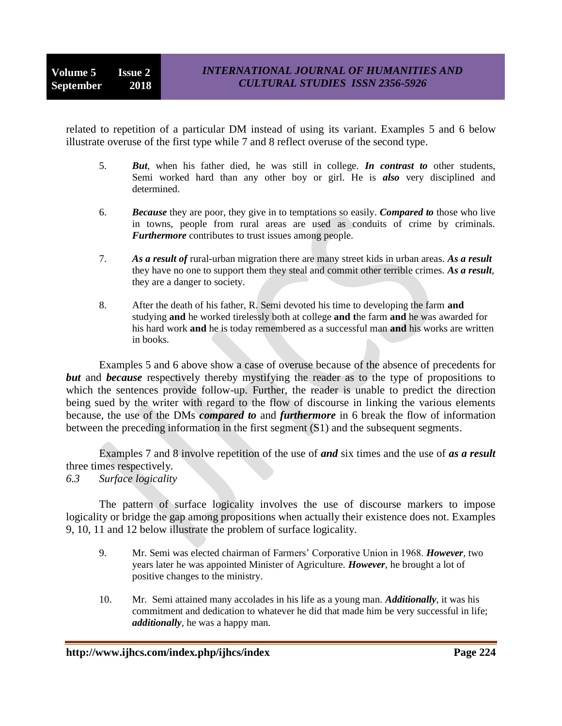related to repetition of a particular DM instead of using its variant. Examples 5 and 6 below illustrate overuse of the first type while 7 and 8 reflect overuse of the second type.

- 5. *But*, when his father died, he was still in college. *In contrast to* other students, Semi worked hard than any other boy or girl. He is *also* very disciplined and determined.
- 6. *Because* they are poor, they give in to temptations so easily. *Compared to* those who live in towns, people from rural areas are used as conduits of crime by criminals. *Furthermore* contributes to trust issues among people.
- 7. *As a result of* rural-urban migration there are many street kids in urban areas. *As a result*  they have no one to support them they steal and commit other terrible crimes. *As a result*, they are a danger to society.
- 8. After the death of his father, R. Semi devoted his time to developing the farm **and** studying **and** he worked tirelessly both at college **and t**he farm **and** he was awarded for his hard work **and** he is today remembered as a successful man **and** his works are written in books.

Examples 5 and 6 above show a case of overuse because of the absence of precedents for *but* and *because* respectively thereby mystifying the reader as to the type of propositions to which the sentences provide follow-up. Further, the reader is unable to predict the direction being sued by the writer with regard to the flow of discourse in linking the various elements because, the use of the DMs *compared to* and *furthermore* in 6 break the flow of information between the preceding information in the first segment (S1) and the subsequent segments.

Examples 7 and 8 involve repetition of the use of *and* six times and the use of *as a result* three times respectively.

*6.3 Surface logicality*

The pattern of surface logicality involves the use of discourse markers to impose logicality or bridge the gap among propositions when actually their existence does not. Examples 9, 10, 11 and 12 below illustrate the problem of surface logicality.

- 9. Mr. Semi was elected chairman of Farmers" Corporative Union in 1968. *However*, two years later he was appointed Minister of Agriculture. *However*, he brought a lot of positive changes to the ministry.
- 10. Mr. Semi attained many accolades in his life as a young man. *Additionally*, it was his commitment and dedication to whatever he did that made him be very successful in life; *additionally*, he was a happy man.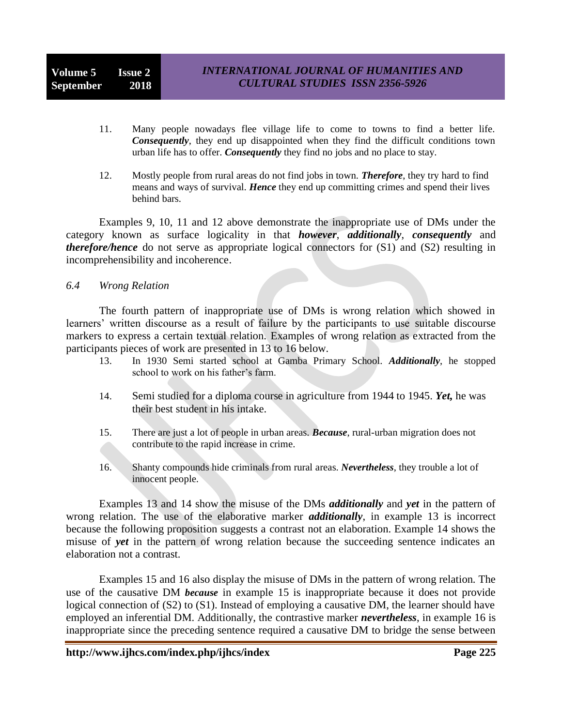- 11. Many people nowadays flee village life to come to towns to find a better life. *Consequently*, they end up disappointed when they find the difficult conditions town urban life has to offer. *Consequently* they find no jobs and no place to stay.
- 12. Mostly people from rural areas do not find jobs in town. *Therefore*, they try hard to find means and ways of survival. *Hence* they end up committing crimes and spend their lives behind bars.

Examples 9, 10, 11 and 12 above demonstrate the inappropriate use of DMs under the category known as surface logicality in that *however*, *additionally*, *consequently* and *therefore/hence* do not serve as appropriate logical connectors for (S1) and (S2) resulting in incomprehensibility and incoherence.

#### *6.4 Wrong Relation*

The fourth pattern of inappropriate use of DMs is wrong relation which showed in learners" written discourse as a result of failure by the participants to use suitable discourse markers to express a certain textual relation. Examples of wrong relation as extracted from the participants pieces of work are presented in 13 to 16 below.

- 13. In 1930 Semi started school at Gamba Primary School. *Additionally*, he stopped school to work on his father's farm.
- 14. Semi studied for a diploma course in agriculture from 1944 to 1945. *Yet,* he was their best student in his intake.
- 15. There are just a lot of people in urban areas. *Because*, rural-urban migration does not contribute to the rapid increase in crime.
- 16. Shanty compounds hide criminals from rural areas. *Nevertheless*, they trouble a lot of innocent people.

Examples 13 and 14 show the misuse of the DMs *additionally* and *yet* in the pattern of wrong relation. The use of the elaborative marker *additionally*, in example 13 is incorrect because the following proposition suggests a contrast not an elaboration. Example 14 shows the misuse of *yet* in the pattern of wrong relation because the succeeding sentence indicates an elaboration not a contrast.

Examples 15 and 16 also display the misuse of DMs in the pattern of wrong relation. The use of the causative DM *because* in example 15 is inappropriate because it does not provide logical connection of (S2) to (S1). Instead of employing a causative DM, the learner should have employed an inferential DM. Additionally, the contrastive marker *nevertheless*, in example 16 is inappropriate since the preceding sentence required a causative DM to bridge the sense between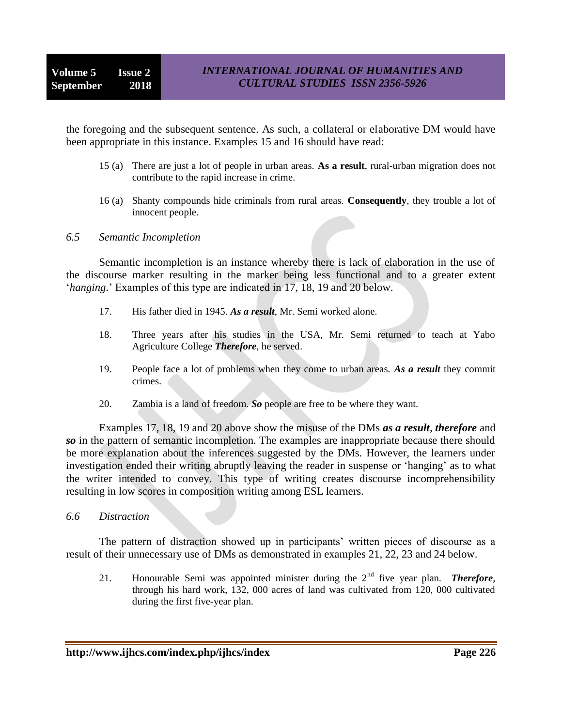the foregoing and the subsequent sentence. As such, a collateral or elaborative DM would have been appropriate in this instance. Examples 15 and 16 should have read:

- 15 (a) There are just a lot of people in urban areas. **As a result**, rural-urban migration does not contribute to the rapid increase in crime.
- 16 (a) Shanty compounds hide criminals from rural areas. **Consequently**, they trouble a lot of innocent people.

*6.5 Semantic Incompletion*

Semantic incompletion is an instance whereby there is lack of elaboration in the use of the discourse marker resulting in the marker being less functional and to a greater extent *'hanging*.' Examples of this type are indicated in 17, 18, 19 and 20 below.

- 17. His father died in 1945. *As a result*, Mr. Semi worked alone.
- 18. Three years after his studies in the USA, Mr. Semi returned to teach at Yabo Agriculture College *Therefore*, he served.
- 19. People face a lot of problems when they come to urban areas. *As a result* they commit crimes.
- 20. Zambia is a land of freedom. *So* people are free to be where they want.

Examples 17, 18, 19 and 20 above show the misuse of the DMs *as a result*, *therefore* and *so* in the pattern of semantic incompletion. The examples are inappropriate because there should be more explanation about the inferences suggested by the DMs. However, the learners under investigation ended their writing abruptly leaving the reader in suspense or 'hanging' as to what the writer intended to convey. This type of writing creates discourse incomprehensibility resulting in low scores in composition writing among ESL learners.

*6.6 Distraction*

The pattern of distraction showed up in participants' written pieces of discourse as a result of their unnecessary use of DMs as demonstrated in examples 21, 22, 23 and 24 below.

21. Honourable Semi was appointed minister during the 2nd five year plan. *Therefore,* through his hard work, 132, 000 acres of land was cultivated from 120, 000 cultivated during the first five-year plan.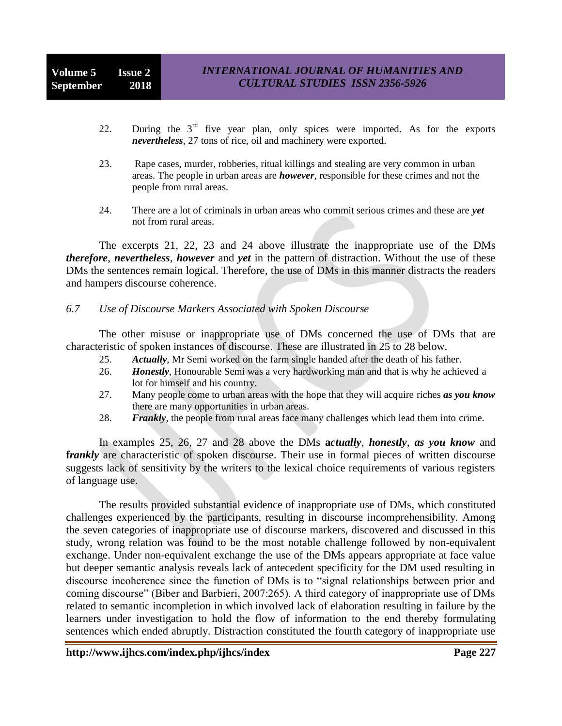- 22. During the  $3<sup>rd</sup>$  five year plan, only spices were imported. As for the exports *nevertheless*, 27 tons of rice, oil and machinery were exported.
- 23. Rape cases, murder, robberies, ritual killings and stealing are very common in urban areas. The people in urban areas are *however*, responsible for these crimes and not the people from rural areas.
- 24. There are a lot of criminals in urban areas who commit serious crimes and these are *yet* not from rural areas.

The excerpts 21, 22, 23 and 24 above illustrate the inappropriate use of the DMs *therefore*, *nevertheless*, *however* and *yet* in the pattern of distraction. Without the use of these DMs the sentences remain logical. Therefore, the use of DMs in this manner distracts the readers and hampers discourse coherence.

#### *6.7 Use of Discourse Markers Associated with Spoken Discourse*

The other misuse or inappropriate use of DMs concerned the use of DMs that are characteristic of spoken instances of discourse. These are illustrated in 25 to 28 below.

- 25. *Actually*, Mr Semi worked on the farm single handed after the death of his father.
- 26. *Honestly*, Honourable Semi was a very hardworking man and that is why he achieved a lot for himself and his country.
- 27. Many people come to urban areas with the hope that they will acquire riches *as you know*  there are many opportunities in urban areas.
- 28. *Frankly*, the people from rural areas face many challenges which lead them into crime.

In examples 25, 26, 27 and 28 above the DMs **a***ctually*, *honestly*, *as you know* and *frankly* are characteristic of spoken discourse. Their use in formal pieces of written discourse suggests lack of sensitivity by the writers to the lexical choice requirements of various registers of language use.

The results provided substantial evidence of inappropriate use of DMs, which constituted challenges experienced by the participants, resulting in discourse incomprehensibility. Among the seven categories of inappropriate use of discourse markers, discovered and discussed in this study, wrong relation was found to be the most notable challenge followed by non-equivalent exchange. Under non-equivalent exchange the use of the DMs appears appropriate at face value but deeper semantic analysis reveals lack of antecedent specificity for the DM used resulting in discourse incoherence since the function of DMs is to "signal relationships between prior and coming discourse" (Biber and Barbieri, 2007:265). A third category of inappropriate use of DMs related to semantic incompletion in which involved lack of elaboration resulting in failure by the learners under investigation to hold the flow of information to the end thereby formulating sentences which ended abruptly. Distraction constituted the fourth category of inappropriate use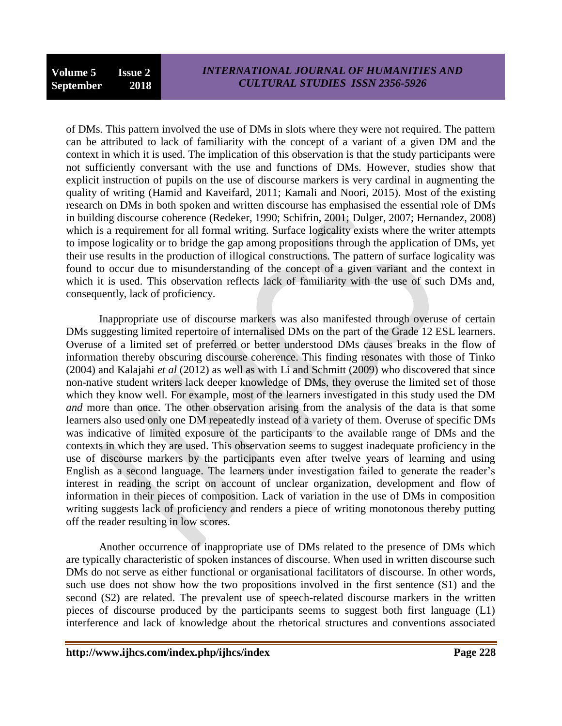of DMs. This pattern involved the use of DMs in slots where they were not required. The pattern can be attributed to lack of familiarity with the concept of a variant of a given DM and the context in which it is used. The implication of this observation is that the study participants were not sufficiently conversant with the use and functions of DMs. However, studies show that explicit instruction of pupils on the use of discourse markers is very cardinal in augmenting the quality of writing (Hamid and Kaveifard, 2011; Kamali and Noori, 2015). Most of the existing research on DMs in both spoken and written discourse has emphasised the essential role of DMs in building discourse coherence (Redeker, 1990; Schifrin, 2001; Dulger, 2007; Hernandez, 2008) which is a requirement for all formal writing. Surface logicality exists where the writer attempts to impose logicality or to bridge the gap among propositions through the application of DMs, yet their use results in the production of illogical constructions. The pattern of surface logicality was found to occur due to misunderstanding of the concept of a given variant and the context in which it is used. This observation reflects lack of familiarity with the use of such DMs and, consequently, lack of proficiency.

Inappropriate use of discourse markers was also manifested through overuse of certain DMs suggesting limited repertoire of internalised DMs on the part of the Grade 12 ESL learners. Overuse of a limited set of preferred or better understood DMs causes breaks in the flow of information thereby obscuring discourse coherence. This finding resonates with those of Tinko (2004) and Kalajahi *et al* (2012) as well as with Li and Schmitt (2009) who discovered that since non-native student writers lack deeper knowledge of DMs, they overuse the limited set of those which they know well. For example, most of the learners investigated in this study used the DM *and* more than once. The other observation arising from the analysis of the data is that some learners also used only one DM repeatedly instead of a variety of them. Overuse of specific DMs was indicative of limited exposure of the participants to the available range of DMs and the contexts in which they are used. This observation seems to suggest inadequate proficiency in the use of discourse markers by the participants even after twelve years of learning and using English as a second language. The learners under investigation failed to generate the reader"s interest in reading the script on account of unclear organization, development and flow of information in their pieces of composition. Lack of variation in the use of DMs in composition writing suggests lack of proficiency and renders a piece of writing monotonous thereby putting off the reader resulting in low scores.

Another occurrence of inappropriate use of DMs related to the presence of DMs which are typically characteristic of spoken instances of discourse. When used in written discourse such DMs do not serve as either functional or organisational facilitators of discourse. In other words, such use does not show how the two propositions involved in the first sentence (S1) and the second (S2) are related. The prevalent use of speech-related discourse markers in the written pieces of discourse produced by the participants seems to suggest both first language (L1) interference and lack of knowledge about the rhetorical structures and conventions associated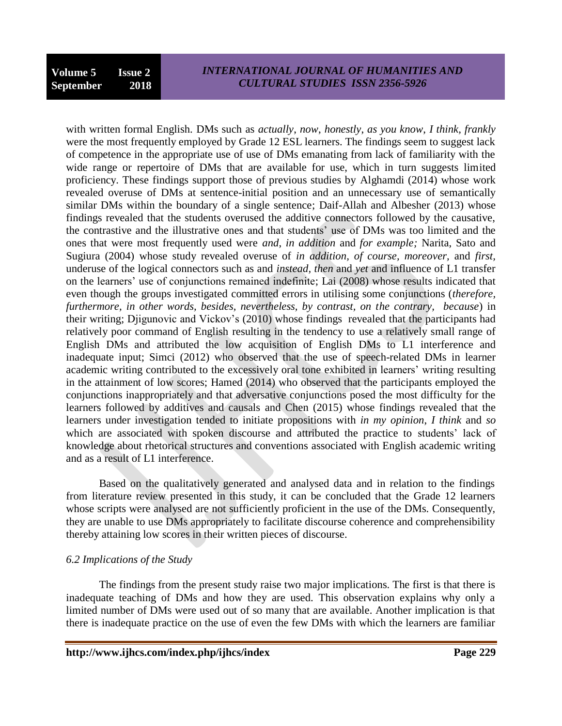## *INTERNATIONAL JOURNAL OF HUMANITIES AND CULTURAL STUDIES ISSN 2356-5926*

with written formal English. DMs such as *actually*, *now*, *honestly*, *as you know*, *I think, frankly* were the most frequently employed by Grade 12 ESL learners. The findings seem to suggest lack of competence in the appropriate use of use of DMs emanating from lack of familiarity with the wide range or repertoire of DMs that are available for use, which in turn suggests limited proficiency. These findings support those of previous studies by Alghamdi (2014) whose work revealed overuse of DMs at sentence-initial position and an unnecessary use of semantically similar DMs within the boundary of a single sentence; Daif-Allah and Albesher (2013) whose findings revealed that the students overused the additive connectors followed by the causative, the contrastive and the illustrative ones and that students" use of DMs was too limited and the ones that were most frequently used were *and*, *in addition* and *for example;* Narita, Sato and Sugiura (2004) whose study revealed overuse of *in addition, of course, moreover,* and *first,* underuse of the logical connectors such as and *instead, then* and *yet* and influence of L1 transfer on the learners" use of conjunctions remained indefinite; Lai (2008) whose results indicated that even though the groups investigated committed errors in utilising some conjunctions (*therefore, furthermore, in other words, besides, nevertheless, by contrast, on the contrary, because*) in their writing; Djigunovic and Vickov"s (2010) whose findings revealed that the participants had relatively poor command of English resulting in the tendency to use a relatively small range of English DMs and attributed the low acquisition of English DMs to L1 interference and inadequate input; Simci (2012) who observed that the use of speech-related DMs in learner academic writing contributed to the excessively oral tone exhibited in learners" writing resulting in the attainment of low scores; Hamed (2014) who observed that the participants employed the conjunctions inappropriately and that adversative conjunctions posed the most difficulty for the learners followed by additives and causals and Chen (2015) whose findings revealed that the learners under investigation tended to initiate propositions with *in my opinion*, *I think* and *so* which are associated with spoken discourse and attributed the practice to students' lack of knowledge about rhetorical structures and conventions associated with English academic writing and as a result of L1 interference.

Based on the qualitatively generated and analysed data and in relation to the findings from literature review presented in this study, it can be concluded that the Grade 12 learners whose scripts were analysed are not sufficiently proficient in the use of the DMs. Consequently, they are unable to use DMs appropriately to facilitate discourse coherence and comprehensibility thereby attaining low scores in their written pieces of discourse.

## *6.2 Implications of the Study*

The findings from the present study raise two major implications. The first is that there is inadequate teaching of DMs and how they are used. This observation explains why only a limited number of DMs were used out of so many that are available. Another implication is that there is inadequate practice on the use of even the few DMs with which the learners are familiar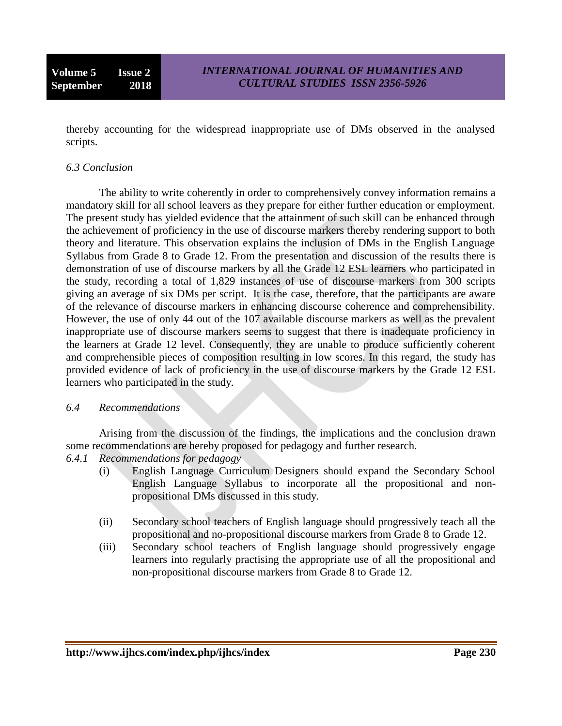thereby accounting for the widespread inappropriate use of DMs observed in the analysed scripts.

## *6.3 Conclusion*

The ability to write coherently in order to comprehensively convey information remains a mandatory skill for all school leavers as they prepare for either further education or employment. The present study has yielded evidence that the attainment of such skill can be enhanced through the achievement of proficiency in the use of discourse markers thereby rendering support to both theory and literature. This observation explains the inclusion of DMs in the English Language Syllabus from Grade 8 to Grade 12. From the presentation and discussion of the results there is demonstration of use of discourse markers by all the Grade 12 ESL learners who participated in the study, recording a total of 1,829 instances of use of discourse markers from 300 scripts giving an average of six DMs per script. It is the case, therefore, that the participants are aware of the relevance of discourse markers in enhancing discourse coherence and comprehensibility. However, the use of only 44 out of the 107 available discourse markers as well as the prevalent inappropriate use of discourse markers seems to suggest that there is inadequate proficiency in the learners at Grade 12 level. Consequently, they are unable to produce sufficiently coherent and comprehensible pieces of composition resulting in low scores. In this regard, the study has provided evidence of lack of proficiency in the use of discourse markers by the Grade 12 ESL learners who participated in the study.

## *6.4 Recommendations*

Arising from the discussion of the findings, the implications and the conclusion drawn some recommendations are hereby proposed for pedagogy and further research.

- *6.4.1 Recommendations for pedagogy*
	- (i) English Language Curriculum Designers should expand the Secondary School English Language Syllabus to incorporate all the propositional and nonpropositional DMs discussed in this study.
	- (ii) Secondary school teachers of English language should progressively teach all the propositional and no-propositional discourse markers from Grade 8 to Grade 12.
	- (iii) Secondary school teachers of English language should progressively engage learners into regularly practising the appropriate use of all the propositional and non-propositional discourse markers from Grade 8 to Grade 12.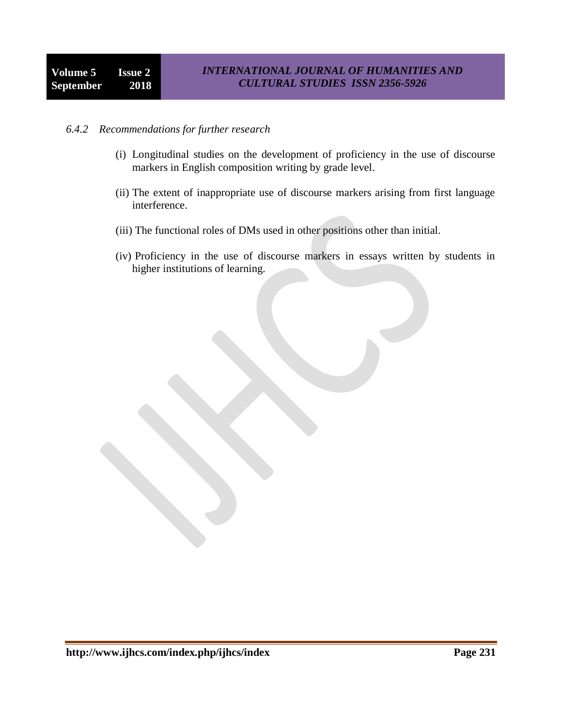#### *6.4.2 Recommendations for further research*

- (i) Longitudinal studies on the development of proficiency in the use of discourse markers in English composition writing by grade level.
- (ii) The extent of inappropriate use of discourse markers arising from first language interference.
- (iii) The functional roles of DMs used in other positions other than initial.
- (iv) Proficiency in the use of discourse markers in essays written by students in higher institutions of learning.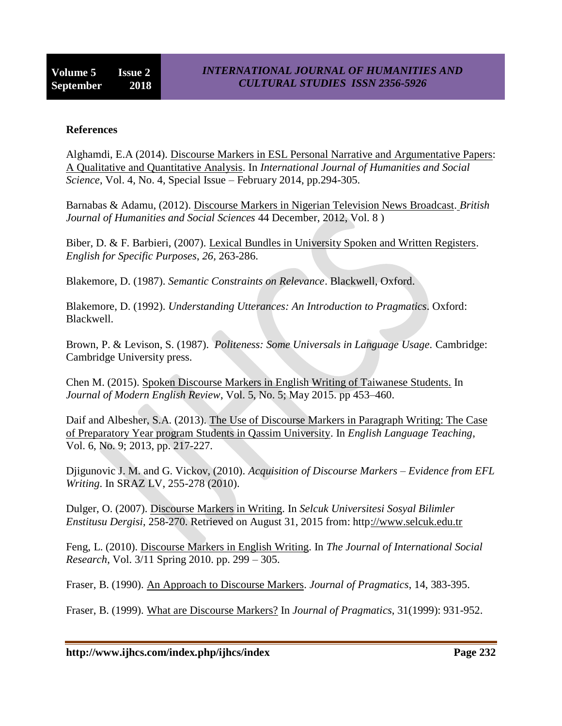### **References**

Alghamdi, E.A (2014). Discourse Markers in ESL Personal Narrative and Argumentative Papers: A Qualitative and Quantitative Analysis. In *International Journal of Humanities and Social Science*, Vol. 4, No. 4, Special Issue – February 2014, pp.294-305.

Barnabas & Adamu, (2012). Discourse Markers in Nigerian Television News Broadcast. *British Journal of Humanities and Social Sciences* 44 December, 2012, Vol. 8 )

Biber, D. & F. Barbieri, (2007). Lexical Bundles in University Spoken and Written Registers. *English for Specific Purposes*, *26,* 263-286.

Blakemore, D. (1987). *Semantic Constraints on Relevance*. Blackwell, Oxford.

Blakemore, D. (1992). *Understanding Utterances: An Introduction to Pragmatics*. Oxford: Blackwell.

Brown, P. & Levison, S. (1987). *Politeness: Some Universals in Language Usage.* Cambridge: Cambridge University press.

Chen M. (2015). Spoken Discourse Markers in English Writing of Taiwanese Students. In *Journal of Modern English Review*, Vol. 5, No. 5; May 2015. pp 453–460.

Daif and Albesher, S.A. (2013). The Use of Discourse Markers in Paragraph Writing: The Case of Preparatory Year program Students in Qassim University. In *English Language Teaching*, Vol. 6, No. 9; 2013, pp. 217-227.

Djigunovic J. M. and G. Vickov, (2010). *Acquisition of Discourse Markers – Evidence from EFL Writing*. In SRAZ LV, 255-278 (2010).

Dulger, O. (2007). Discourse Markers in Writing. In *Selcuk Universitesi Sosyal Bilimler Enstitusu Dergisi*, 258-270. Retrieved on August 31, 2015 from: http://www.selcuk.edu.tr

Feng, L. (2010). Discourse Markers in English Writing. In *The Journal of International Social Research*, Vol. 3/11 Spring 2010. pp. 299 – 305.

Fraser, B. (1990). An Approach to Discourse Markers. *Journal of Pragmatics*, 14, 383-395.

Fraser, B. (1999). What are Discourse Markers? In *Journal of Pragmatics*, 31(1999): 931-952.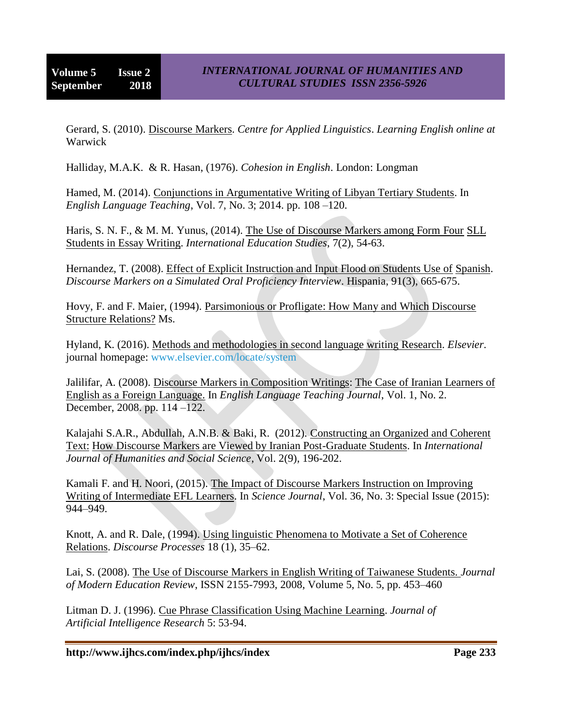Gerard, S. (2010). Discourse Markers. *Centre for Applied Linguistics*. *Learning English online at*  Warwick

Halliday, M.A.K. & R. Hasan, (1976). *Cohesion in English*. London: Longman

Hamed, M. (2014). Conjunctions in Argumentative Writing of Libyan Tertiary Students. In *English Language Teaching*, Vol. 7, No. 3; 2014. pp. 108 –120.

Haris, S. N. F., & M. M. Yunus, (2014). The Use of Discourse Markers among Form Four SLL Students in Essay Writing. *International Education Studies*, 7(2), 54-63.

Hernandez, T. (2008). Effect of Explicit Instruction and Input Flood on Students Use of Spanish. *Discourse Markers on a Simulated Oral Proficiency Interview*. Hispania, 91(3), 665-675.

Hovy, F. and F. Maier, (1994). Parsimonious or Profligate: How Many and Which Discourse Structure Relations? Ms.

Hyland, K. (2016). Methods and methodologies in second language writing Research. *Elsevier*. journal homepage: www.elsevier.com/locate/system

Jalilifar, A. (2008). Discourse Markers in Composition Writings: The Case of Iranian Learners of English as a Foreign Language. In *English Language Teaching Journal*, Vol. 1, No. 2. December, 2008. pp. 114 –122.

Kalajahi S.A.R., Abdullah, A.N.B. & Baki, R. (2012). Constructing an Organized and Coherent Text: How Discourse Markers are Viewed by Iranian Post-Graduate Students. In *International Journal of Humanities and Social Science*, Vol. 2(9), 196-202.

Kamali F. and H. Noori, (2015). The Impact of Discourse Markers Instruction on Improving Writing of Intermediate EFL Learners. In *Science Journal*, Vol. 36, No. 3: Special Issue (2015): 944–949.

Knott, A. and R. Dale, (1994). Using linguistic Phenomena to Motivate a Set of Coherence Relations. *Discourse Processes* 18 (1), 35–62.

Lai, S. (2008). The Use of Discourse Markers in English Writing of Taiwanese Students. *Journal of Modern Education Review*, ISSN 2155-7993, 2008, Volume 5, No. 5, pp. 453–460

Litman D. J. (1996). Cue Phrase Classification Using Machine Learning. *Journal of Artificial Intelligence Research* 5: 53-94.